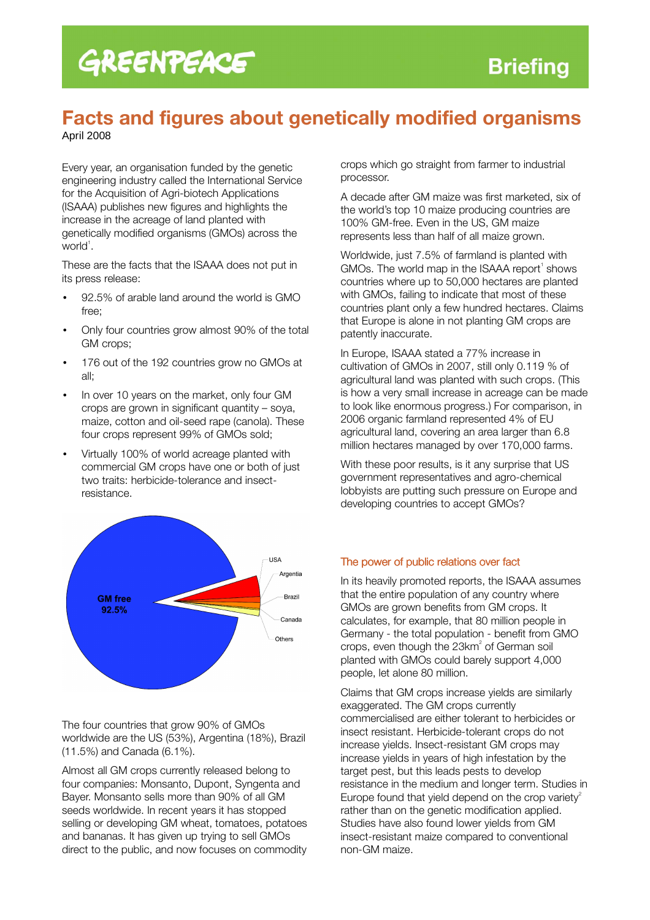## GREENPEACE

## Facts and figures about genetically modified organisms

April 2008

Every year, an organisation funded by the genetic engineering industry called the International Service for the Acquisition of Agri-biotech Applications (ISAAA) publishes new figures and highlights the increase in the acreage of land planted with genetically modified organisms (GMOs) across the world<sup>1</sup>.

These are the facts that the ISAAA does not put in its press release:

- 92.5% of arable land around the world is GMO free;
- Only four countries grow almost 90% of the total GM crops;
- 176 out of the 192 countries grow no GMOs at all;
- In over 10 years on the market, only four GM crops are grown in significant quantity – soya, maize, cotton and oil-seed rape (canola). These four crops represent 99% of GMOs sold;
- Virtually 100% of world acreage planted with commercial GM crops have one or both of just two traits: herbicide-tolerance and insectresistance.



The four countries that grow 90% of GMOs worldwide are the US (53%), Argentina (18%), Brazil (11.5%) and Canada (6.1%).

Almost all GM crops currently released belong to four companies: Monsanto, Dupont, Syngenta and Bayer. Monsanto sells more than 90% of all GM seeds worldwide. In recent years it has stopped selling or developing GM wheat, tomatoes, potatoes and bananas. It has given up trying to sell GMOs direct to the public, and now focuses on commodity

crops which go straight from farmer to industrial processor.

A decade after GM maize was first marketed, six of the world's top 10 maize producing countries are 100% GM-free. Even in the US, GM maize represents less than half of all maize grown.

Worldwide, just 7.5% of farmland is planted with GMOs. The world map in the ISAAA report $^{\prime}$  shows countries where up to 50,000 hectares are planted with GMOs, failing to indicate that most of these countries plant only a few hundred hectares. Claims that Europe is alone in not planting GM crops are patently inaccurate.

In Europe, ISAAA stated a 77% increase in cultivation of GMOs in 2007, still only 0.119 % of agricultural land was planted with such crops. (This is how a very small increase in acreage can be made to look like enormous progress.) For comparison, in 2006 organic farmland represented 4% of EU agricultural land, covering an area larger than 6.8 million hectares managed by over 170,000 farms.

With these poor results, is it any surprise that US government representatives and agro-chemical lobbyists are putting such pressure on Europe and developing countries to accept GMOs?

## The power of public relations over fact

In its heavily promoted reports, the ISAAA assumes that the entire population of any country where GMOs are grown benefits from GM crops. It calculates, for example, that 80 million people in Germany - the total population - benefit from GMO crops, even though the  $23$ km $^2$  of German soil planted with GMOs could barely support 4,000 people, let alone 80 million.

Claims that GM crops increase yields are similarly exaggerated. The GM crops currently commercialised are either tolerant to herbicides or insect resistant. Herbicide-tolerant crops do not increase yields. Insect-resistant GM crops may increase yields in years of high infestation by the target pest, but this leads pests to develop resistance in the medium and longer term. Studies in Europe found that yield depend on the crop variety<sup>2</sup> rather than on the genetic modification applied. Studies have also found lower yields from GM insect-resistant maize compared to conventional non-GM maize.